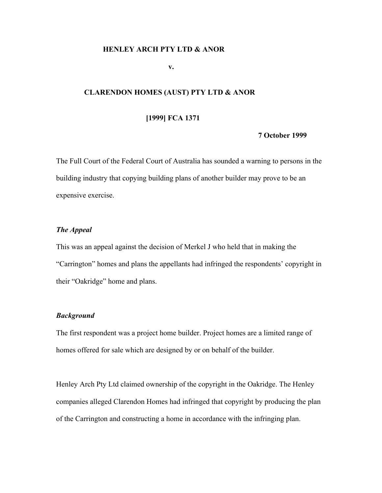#### **HENLEY ARCH PTY LTD & ANOR**

### **v.**

# **CLARENDON HOMES (AUST) PTY LTD & ANOR**

## **[1999] FCA 1371**

#### **7 October 1999**

The Full Court of the Federal Court of Australia has sounded a warning to persons in the building industry that copying building plans of another builder may prove to be an expensive exercise.

# *The Appeal*

This was an appeal against the decision of Merkel J who held that in making the "Carrington" homes and plans the appellants had infringed the respondents' copyright in their "Oakridge" home and plans.

# *Background*

The first respondent was a project home builder. Project homes are a limited range of homes offered for sale which are designed by or on behalf of the builder.

Henley Arch Pty Ltd claimed ownership of the copyright in the Oakridge. The Henley companies alleged Clarendon Homes had infringed that copyright by producing the plan of the Carrington and constructing a home in accordance with the infringing plan.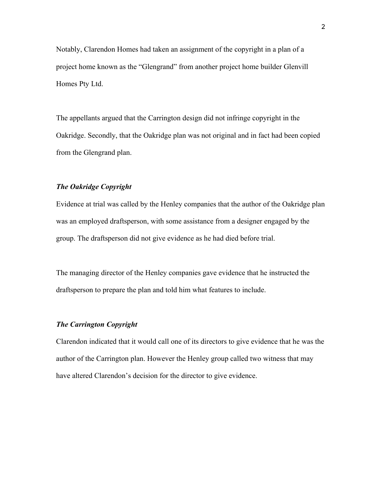Notably, Clarendon Homes had taken an assignment of the copyright in a plan of a project home known as the "Glengrand" from another project home builder Glenvill Homes Pty Ltd.

The appellants argued that the Carrington design did not infringe copyright in the Oakridge. Secondly, that the Oakridge plan was not original and in fact had been copied from the Glengrand plan.

### *The Oakridge Copyright*

Evidence at trial was called by the Henley companies that the author of the Oakridge plan was an employed draftsperson, with some assistance from a designer engaged by the group. The draftsperson did not give evidence as he had died before trial.

The managing director of the Henley companies gave evidence that he instructed the draftsperson to prepare the plan and told him what features to include.

### *The Carrington Copyright*

Clarendon indicated that it would call one of its directors to give evidence that he was the author of the Carrington plan. However the Henley group called two witness that may have altered Clarendon's decision for the director to give evidence.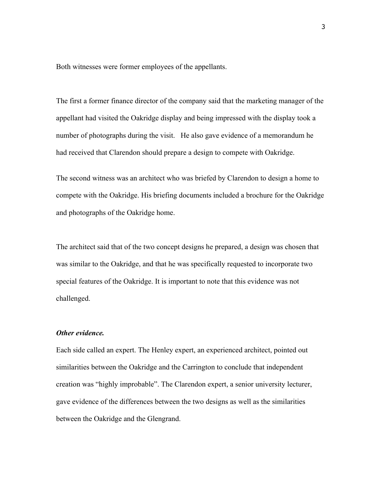Both witnesses were former employees of the appellants.

The first a former finance director of the company said that the marketing manager of the appellant had visited the Oakridge display and being impressed with the display took a number of photographs during the visit. He also gave evidence of a memorandum he had received that Clarendon should prepare a design to compete with Oakridge.

The second witness was an architect who was briefed by Clarendon to design a home to compete with the Oakridge. His briefing documents included a brochure for the Oakridge and photographs of the Oakridge home.

The architect said that of the two concept designs he prepared, a design was chosen that was similar to the Oakridge, and that he was specifically requested to incorporate two special features of the Oakridge. It is important to note that this evidence was not challenged.

### *Other evidence.*

Each side called an expert. The Henley expert, an experienced architect, pointed out similarities between the Oakridge and the Carrington to conclude that independent creation was "highly improbable". The Clarendon expert, a senior university lecturer, gave evidence of the differences between the two designs as well as the similarities between the Oakridge and the Glengrand.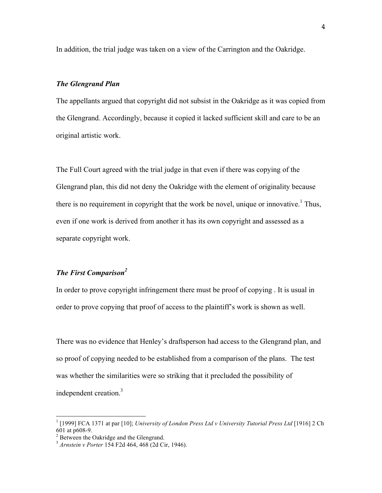In addition, the trial judge was taken on a view of the Carrington and the Oakridge.

#### *The Glengrand Plan*

The appellants argued that copyright did not subsist in the Oakridge as it was copied from the Glengrand. Accordingly, because it copied it lacked sufficient skill and care to be an original artistic work.

The Full Court agreed with the trial judge in that even if there was copying of the Glengrand plan, this did not deny the Oakridge with the element of originality because there is no requirement in copyright that the work be novel, unique or innovative.<sup>1</sup> Thus, even if one work is derived from another it has its own copyright and assessed as a separate copyright work.

## *The First Comparison2*

In order to prove copyright infringement there must be proof of copying . It is usual in order to prove copying that proof of access to the plaintiff's work is shown as well.

There was no evidence that Henley's draftsperson had access to the Glengrand plan, and so proof of copying needed to be established from a comparison of the plans. The test was whether the similarities were so striking that it precluded the possibility of independent creation.<sup>3</sup>

<sup>1</sup> [1999] FCA 1371 at par [10]; *University of London Press Ltd v University Tutorial Press Ltd* [1916] 2 Ch 601 at p608-9. <sup>2</sup> Between the Oakridge and the Glengrand.

<sup>3</sup> *Arnstein v Porter* 154 F2d 464, 468 (2d Cir, 1946).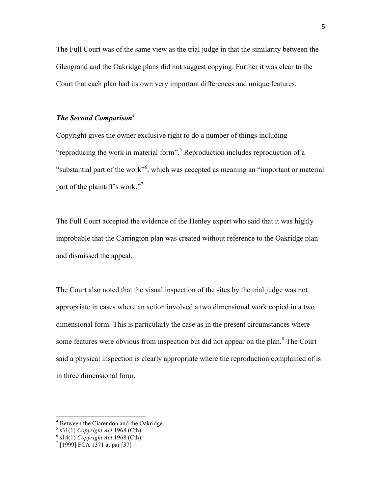The Full Court was of the same view as the trial judge in that the similarity between the Glengrand and the Oakridge plans did not suggest copying. Further it was clear to the Court that each plan had its own very important differences and unique features.

# *The Second Comparison4*

Copyright gives the owner exclusive right to do a number of things including "reproducing the work in material form".<sup>5</sup> Reproduction includes reproduction of a "substantial part of the work"<sup>6</sup>, which was accepted as meaning an "important or material part of the plaintiff's work."<sup>7</sup>

The Full Court accepted the evidence of the Henley expert who said that it was highly improbable that the Carrington plan was created without reference to the Oakridge plan and dismissed the appeal.

The Court also noted that the visual inspection of the sites by the trial judge was not appropriate in cases where an action involved a two dimensional work copied in a two dimensional form. This is particularly the case as in the present circumstances where some features were obvious from inspection but did not appear on the plan.<sup>8</sup> The Court said a physical inspection is clearly appropriate where the reproduction complained of is in three dimensional form.

<sup>&</sup>lt;sup>4</sup> Between the Clarendon and the Oakridge.

<sup>5</sup> s31(1) *Copyright Act* 1968 (Cth).<br><sup>6</sup> s14(1) *Copyright Act* 1968 (Cth).<br><sup>7</sup> [1999] FCA 1371 at par [37]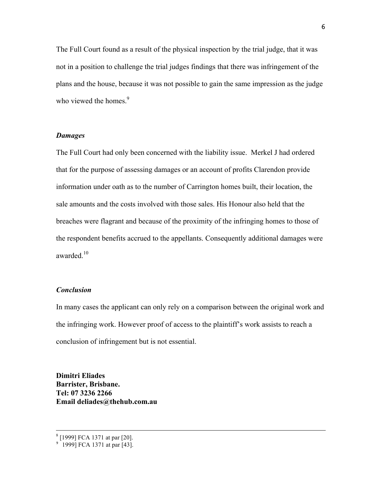The Full Court found as a result of the physical inspection by the trial judge, that it was not in a position to challenge the trial judges findings that there was infringement of the plans and the house, because it was not possible to gain the same impression as the judge who viewed the homes $<sup>9</sup>$ </sup>

#### *Damages*

The Full Court had only been concerned with the liability issue. Merkel J had ordered that for the purpose of assessing damages or an account of profits Clarendon provide information under oath as to the number of Carrington homes built, their location, the sale amounts and the costs involved with those sales. His Honour also held that the breaches were flagrant and because of the proximity of the infringing homes to those of the respondent benefits accrued to the appellants. Consequently additional damages were awarded.<sup>10</sup>

## *Conclusion*

In many cases the applicant can only rely on a comparison between the original work and the infringing work. However proof of access to the plaintiff's work assists to reach a conclusion of infringement but is not essential.

**Dimitri Eliades Barrister, Brisbane. Tel: 07 3236 2266 Email deliades@thehub.com.au**

<sup>8</sup> [1999] FCA 1371 at par [20].

<sup>&</sup>lt;sup>9</sup> 1999] FCA 1371 at par [43].